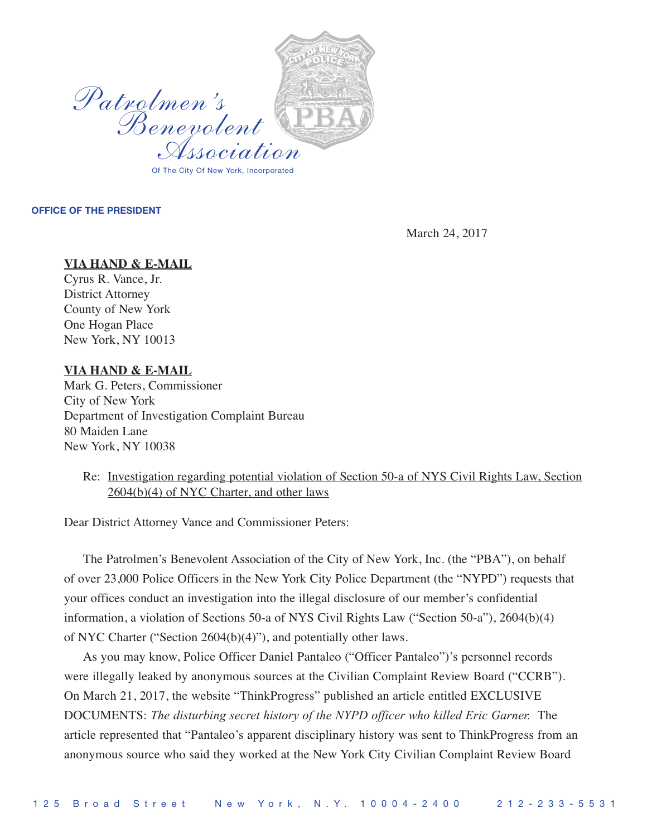

## **OFFICE OF THE PRESIDENT**

March 24, 2017

## **VIA HAND & E-MAIL**

Cyrus R. Vance, Jr. District Attorney County of New York One Hogan Place New York, NY 10013

## **VIA HAND & E-MAIL**

Mark G. Peters, Commissioner City of New York Department of Investigation Complaint Bureau 80 Maiden Lane New York, NY 10038

## Re: Investigation regarding potential violation of Section 50-a of NYS Civil Rights Law, Section 2604(b)(4) of NYC Charter, and other laws

Dear District Attorney Vance and Commissioner Peters:

The Patrolmen's Benevolent Association of the City of New York, Inc. (the "PBA"), on behalf of over 23,000 Police Officers in the New York City Police Department (the "NYPD") requests that your offices conduct an investigation into the illegal disclosure of our member's confidential information, a violation of Sections 50-a of NYS Civil Rights Law ("Section 50-a"), 2604(b)(4) of NYC Charter ("Section 2604(b)(4)"), and potentially other laws.

As you may know, Police Officer Daniel Pantaleo ("Officer Pantaleo")'s personnel records were illegally leaked by anonymous sources at the Civilian Complaint Review Board ("CCRB"). On March 21, 2017, the website "ThinkProgress" published an article entitled EXCLUSIVE DOCUMENTS: *The disturbing secret history of the NYPD officer who killed Eric Garner.* The article represented that "Pantaleo's apparent disciplinary history was sent to ThinkProgress from an anonymous source who said they worked at the New York City Civilian Complaint Review Board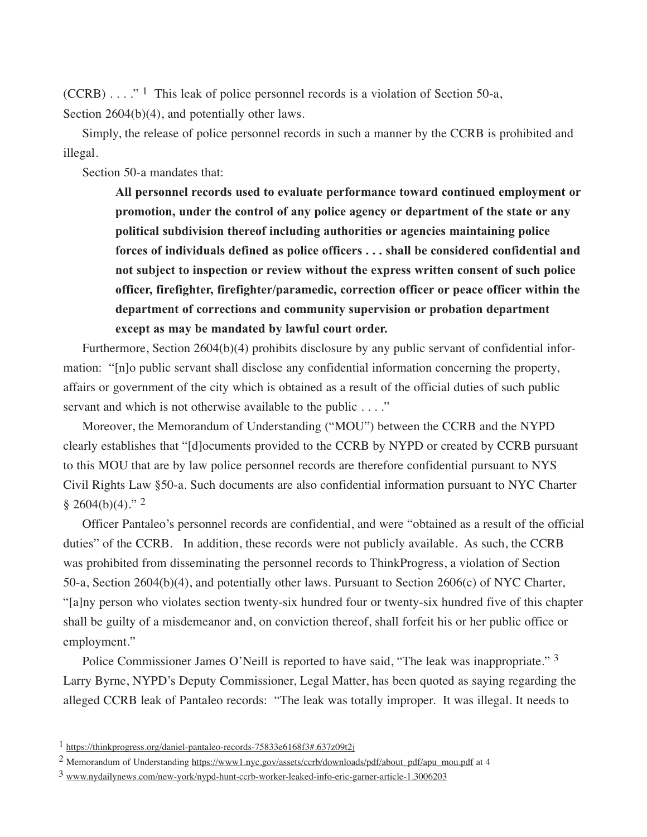(CCRB)  $\ldots$ ." <sup>1</sup> This leak of police personnel records is a violation of Section 50-a, Section 2604(b)(4), and potentially other laws.

Simply, the release of police personnel records in such a manner by the CCRB is prohibited and illegal.

Section 50-a mandates that:

**All personnel records used to evaluate performance toward continued employment or promotion, under the control of any police agency or department of the state or any political subdivision thereof including authorities or agencies maintaining police forces of individuals defined as police officers . . . shall be considered confidential and not subject to inspection or review without the express written consent of such police officer, firefighter, firefighter/paramedic, correction officer or peace officer within the department of corrections and community supervision or probation department except as may be mandated by lawful court order.**

Furthermore, Section 2604(b)(4) prohibits disclosure by any public servant of confidential information: "[n]o public servant shall disclose any confidential information concerning the property, affairs or government of the city which is obtained as a result of the official duties of such public servant and which is not otherwise available to the public . . . ."

Moreover, the Memorandum of Understanding ("MOU") between the CCRB and the NYPD clearly establishes that "[d]ocuments provided to the CCRB by NYPD or created by CCRB pursuant to this MOU that are by law police personnel records are therefore confidential pursuant to NYS Civil Rights Law §50-a. Such documents are also confidential information pursuant to NYC Charter  $§ 2604(b)(4)."$ <sup>2</sup>

Officer Pantaleo's personnel records are confidential, and were "obtained as a result of the official duties" of the CCRB. In addition, these records were not publicly available. As such, the CCRB was prohibited from disseminating the personnel records to ThinkProgress, a violation of Section 50-a, Section 2604(b)(4), and potentially other laws. Pursuant to Section 2606(c) of NYC Charter, "[a]ny person who violates section twenty-six hundred four or twenty-six hundred five of this chapter shall be guilty of a misdemeanor and, on conviction thereof, shall forfeit his or her public office or employment."

Police Commissioner James O'Neill is reported to have said, "The leak was inappropriate." 3 Larry Byrne, NYPD's Deputy Commissioner, Legal Matter, has been quoted as saying regarding the alleged CCRB leak of Pantaleo records: "The leak was totally improper. It was illegal. It needs to

<sup>1</sup> https://thinkprogress.org/daniel-pantaleo-records-75833e6168f3#.637z09t2j

<sup>2</sup> Memorandum of Understanding https://www1.nyc.gov/assets/ccrb/downloads/pdf/about\_pdf/apu\_mou.pdf at 4

<sup>3</sup> www.nydailynews.com/new-york/nypd-hunt-ccrb-worker-leaked-info-eric-garner-article-1.3006203